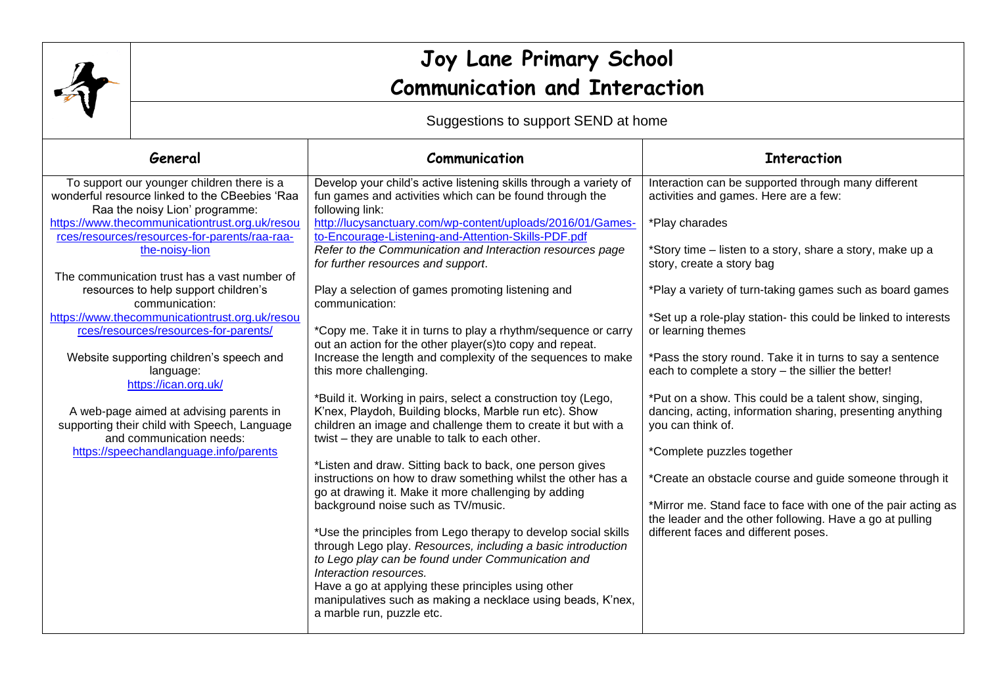

## **Joy Lane Primary School Communication and Interaction**

Suggestions to support SEND at home

| General                                                                                                                                                                                                                                                                                                                                                                                                                                                                                                                                                                                                                                                                                                    | Communication                                                                                                                                                                                                                                                                                                                                                                                                                                                                                                                                                                                                                                                                                                                                                                                                                                                                                                                                                                                                                                                                                                                                                                                                                                                                                                                                                                                                                                                                                                  | <b>Interaction</b>                                                                                                                                                                                                                                                                                                                                                                                                                                                                                                                                                                                                                                                                                                                                                                                                                                                                       |
|------------------------------------------------------------------------------------------------------------------------------------------------------------------------------------------------------------------------------------------------------------------------------------------------------------------------------------------------------------------------------------------------------------------------------------------------------------------------------------------------------------------------------------------------------------------------------------------------------------------------------------------------------------------------------------------------------------|----------------------------------------------------------------------------------------------------------------------------------------------------------------------------------------------------------------------------------------------------------------------------------------------------------------------------------------------------------------------------------------------------------------------------------------------------------------------------------------------------------------------------------------------------------------------------------------------------------------------------------------------------------------------------------------------------------------------------------------------------------------------------------------------------------------------------------------------------------------------------------------------------------------------------------------------------------------------------------------------------------------------------------------------------------------------------------------------------------------------------------------------------------------------------------------------------------------------------------------------------------------------------------------------------------------------------------------------------------------------------------------------------------------------------------------------------------------------------------------------------------------|------------------------------------------------------------------------------------------------------------------------------------------------------------------------------------------------------------------------------------------------------------------------------------------------------------------------------------------------------------------------------------------------------------------------------------------------------------------------------------------------------------------------------------------------------------------------------------------------------------------------------------------------------------------------------------------------------------------------------------------------------------------------------------------------------------------------------------------------------------------------------------------|
| To support our younger children there is a<br>wonderful resource linked to the CBeebies 'Raa<br>Raa the noisy Lion' programme:<br>https://www.thecommunicationtrust.org.uk/resou<br>rces/resources/resources-for-parents/raa-raa-<br>the-noisy-lion<br>The communication trust has a vast number of<br>resources to help support children's<br>communication:<br>https://www.thecommunicationtrust.org.uk/resou<br>rces/resources/resources-for-parents/<br>Website supporting children's speech and<br>language:<br>https://ican.org.uk/<br>A web-page aimed at advising parents in<br>supporting their child with Speech, Language<br>and communication needs:<br>https://speechandlanguage.info/parents | Develop your child's active listening skills through a variety of<br>fun games and activities which can be found through the<br>following link:<br>http://lucysanctuary.com/wp-content/uploads/2016/01/Games-<br>to-Encourage-Listening-and-Attention-Skills-PDF.pdf<br>Refer to the Communication and Interaction resources page<br>for further resources and support.<br>Play a selection of games promoting listening and<br>communication:<br>*Copy me. Take it in turns to play a rhythm/sequence or carry<br>out an action for the other player(s)to copy and repeat.<br>Increase the length and complexity of the sequences to make<br>this more challenging.<br>*Build it. Working in pairs, select a construction toy (Lego,<br>K'nex, Playdoh, Building blocks, Marble run etc). Show<br>children an image and challenge them to create it but with a<br>twist – they are unable to talk to each other.<br>*Listen and draw. Sitting back to back, one person gives<br>instructions on how to draw something whilst the other has a<br>go at drawing it. Make it more challenging by adding<br>background noise such as TV/music.<br>*Use the principles from Lego therapy to develop social skills<br>through Lego play. Resources, including a basic introduction<br>to Lego play can be found under Communication and<br>Interaction resources.<br>Have a go at applying these principles using other<br>manipulatives such as making a necklace using beads, K'nex,<br>a marble run, puzzle etc. | Interaction can be supported through many different<br>activities and games. Here are a few:<br>*Play charades<br>*Story time – listen to a story, share a story, make up a<br>story, create a story bag<br>*Play a variety of turn-taking games such as board games<br>*Set up a role-play station- this could be linked to interests<br>or learning themes<br>*Pass the story round. Take it in turns to say a sentence<br>each to complete a story - the sillier the better!<br>*Put on a show. This could be a talent show, singing,<br>dancing, acting, information sharing, presenting anything<br>you can think of.<br>*Complete puzzles together<br>*Create an obstacle course and guide someone through it<br>*Mirror me. Stand face to face with one of the pair acting as<br>the leader and the other following. Have a go at pulling<br>different faces and different poses. |
|                                                                                                                                                                                                                                                                                                                                                                                                                                                                                                                                                                                                                                                                                                            |                                                                                                                                                                                                                                                                                                                                                                                                                                                                                                                                                                                                                                                                                                                                                                                                                                                                                                                                                                                                                                                                                                                                                                                                                                                                                                                                                                                                                                                                                                                |                                                                                                                                                                                                                                                                                                                                                                                                                                                                                                                                                                                                                                                                                                                                                                                                                                                                                          |